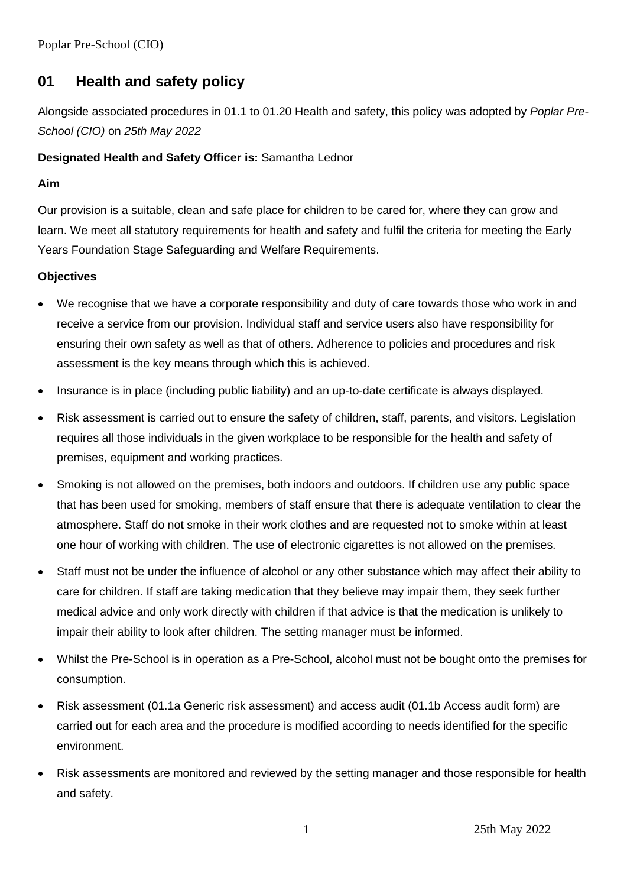Poplar Pre-School (CIO)

# **01 Health and safety policy**

Alongside associated procedures in 01.1 to 01.20 Health and safety, this policy was adopted by *Poplar Pre-School (CIO)* on *25th May 2022*

## **Designated Health and Safety Officer is:** Samantha Lednor

### **Aim**

Our provision is a suitable, clean and safe place for children to be cared for, where they can grow and learn. We meet all statutory requirements for health and safety and fulfil the criteria for meeting the Early Years Foundation Stage Safeguarding and Welfare Requirements.

### **Objectives**

- We recognise that we have a corporate responsibility and duty of care towards those who work in and receive a service from our provision. Individual staff and service users also have responsibility for ensuring their own safety as well as that of others. Adherence to policies and procedures and risk assessment is the key means through which this is achieved.
- Insurance is in place (including public liability) and an up-to-date certificate is always displayed.
- Risk assessment is carried out to ensure the safety of children, staff, parents, and visitors. Legislation requires all those individuals in the given workplace to be responsible for the health and safety of premises, equipment and working practices.
- Smoking is not allowed on the premises, both indoors and outdoors. If children use any public space that has been used for smoking, members of staff ensure that there is adequate ventilation to clear the atmosphere. Staff do not smoke in their work clothes and are requested not to smoke within at least one hour of working with children. The use of electronic cigarettes is not allowed on the premises.
- Staff must not be under the influence of alcohol or any other substance which may affect their ability to care for children. If staff are taking medication that they believe may impair them, they seek further medical advice and only work directly with children if that advice is that the medication is unlikely to impair their ability to look after children. The setting manager must be informed.
- Whilst the Pre-School is in operation as a Pre-School, alcohol must not be bought onto the premises for consumption.
- Risk assessment (01.1a Generic risk assessment) and access audit (01.1b Access audit form) are carried out for each area and the procedure is modified according to needs identified for the specific environment.
- Risk assessments are monitored and reviewed by the setting manager and those responsible for health and safety.